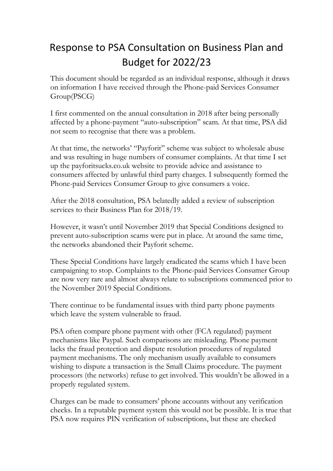## Response to PSA Consultation on Business Plan and Budget for 2022/23

This document should be regarded as an individual response, although it draws on information I have received through the Phone-paid Services Consumer Group(PSCG)

I first commented on the annual consultation in 2018 after being personally affected by a phone-payment "auto-subscription" scam. At that time, PSA did not seem to recognise that there was a problem.

At that time, the networks' "Payforit" scheme was subject to wholesale abuse and was resulting in huge numbers of consumer complaints. At that time I set up the payforitsucks.co.uk website to provide advice and assistance to consumers affected by unlawful third party charges. I subsequently formed the Phone-paid Services Consumer Group to give consumers a voice.

After the 2018 consultation, PSA belatedly added a review of subscription services to their Business Plan for 2018/19.

However, it wasn't until November 2019 that Special Conditions designed to prevent auto-subscription scams were put in place. At around the same time, the networks abandoned their Payforit scheme.

These Special Conditions have largely eradicated the scams which I have been campaigning to stop. Complaints to the Phone-paid Services Consumer Group are now very rare and almost always relate to subscriptions commenced prior to the November 2019 Special Conditions.

There continue to be fundamental issues with third party phone payments which leave the system vulnerable to fraud.

PSA often compare phone payment with other (FCA regulated) payment mechanisms like Paypal. Such comparisons are misleading. Phone payment lacks the fraud protection and dispute resolution procedures of regulated payment mechanisms. The only mechanism usually available to consumers wishing to dispute a transaction is the Small Claims procedure. The payment processors (the networks) refuse to get involved. This wouldn't be allowed in a properly regulated system.

Charges can be made to consumers' phone accounts without any verification checks. In a reputable payment system this would not be possible. It is true that PSA now requires PIN verification of subscriptions, but these are checked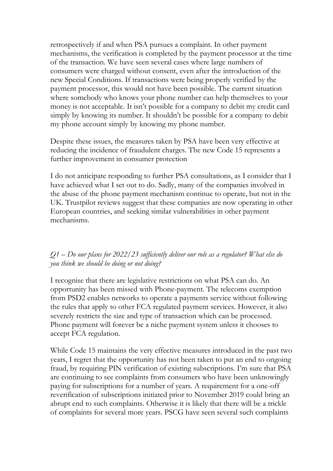retrospectively if and when PSA pursues a complaint. In other payment mechanisms, the verification is completed by the payment processor at the time of the transaction. We have seen several cases where large numbers of consumers were charged without consent, even after the introduction of the new Special Conditions. If transactions were being properly verified by the payment processor, this would not have been possible. The current situation where somebody who knows your phone number can help themselves to your money is not acceptable. It isn't possible for a company to debit my credit card simply by knowing its number. It shouldn't be possible for a company to debit my phone account simply by knowing my phone number.

Despite these issues, the measures taken by PSA have been very effective at reducing the incidence of fraudulent charges. The new Code 15 represents a further improvement in consumer protection

I do not anticipate responding to further PSA consultations, as I consider that I have achieved what I set out to do. Sadly, many of the companies involved in the abuse of the phone payment mechanism continue to operate, but not in the UK. Trustpilot reviews suggest that these companies are now operating in other European countries, and seeking similar vulnerabilities in other payment mechanisms.

## *Q1 – Do our plans for 2022/23 sufficiently deliver our role as a regulator? What else do you think we should be doing or not doing?*

I recognise that there are legislative restrictions on what PSA can do. An opportunity has been missed with Phone-payment. The telecoms exemption from PSD2 enables networks to operate a payments service without following the rules that apply to other FCA regulated payment services. However, it also severely restricts the size and type of transaction which can be processed. Phone payment will forever be a niche payment system unless it chooses to accept FCA regulation.

While Code 15 maintains the very effective measures introduced in the past two years, I regret that the opportunity has not been taken to put an end to ongoing fraud, by requiring PIN verification of existing subscriptions. I'm sure that PSA are continuing to see complaints from consumers who have been unknowingly paying for subscriptions for a number of years. A requirement for a one-off reverification of subscriptions initiated prior to November 2019 could bring an abrupt end to such complaints. Otherwise it is likely that there will be a trickle of complaints for several more years. PSCG have seen several such complaints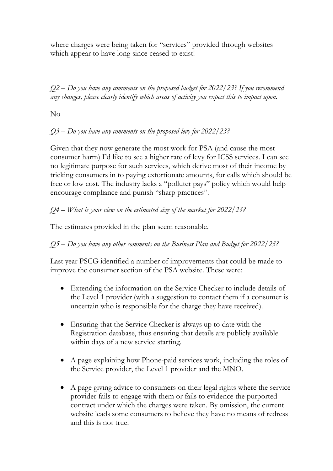where charges were being taken for "services" provided through websites which appear to have long since ceased to exist!

*Q2 – Do you have any comments on the proposed budget for 2022/23? If you recommend any changes, please clearly identify which areas of activity you expect this to impact upon.*

No

*Q3 – Do you have any comments on the proposed levy for 2022/23?*

Given that they now generate the most work for PSA (and cause the most consumer harm) I'd like to see a higher rate of levy for ICSS services. I can see no legitimate purpose for such services, which derive most of their income by tricking consumers in to paying extortionate amounts, for calls which should be free or low cost. The industry lacks a "polluter pays" policy which would help encourage compliance and punish "sharp practices".

*Q4 – What is your view on the estimated size of the market for 2022/23?*

The estimates provided in the plan seem reasonable.

*Q5 – Do you have any other comments on the Business Plan and Budget for 2022/23?*

Last year PSCG identified a number of improvements that could be made to improve the consumer section of the PSA website. These were:

- Extending the information on the Service Checker to include details of the Level 1 provider (with a suggestion to contact them if a consumer is uncertain who is responsible for the charge they have received).
- Ensuring that the Service Checker is always up to date with the Registration database, thus ensuring that details are publicly available within days of a new service starting.
- A page explaining how Phone-paid services work, including the roles of the Service provider, the Level 1 provider and the MNO.
- A page giving advice to consumers on their legal rights where the service provider fails to engage with them or fails to evidence the purported contract under which the charges were taken. By omission, the current website leads some consumers to believe they have no means of redress and this is not true.